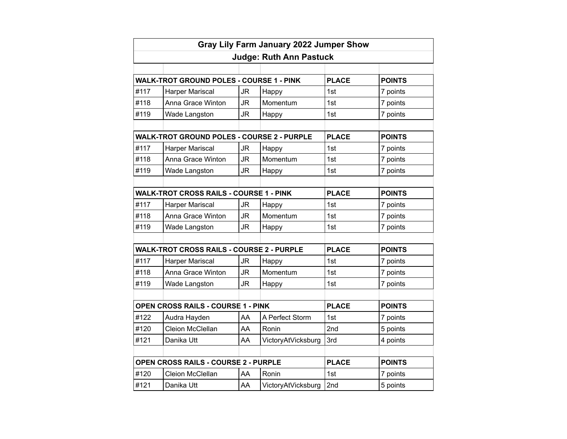| Gray Lily Farm January 2022 Jumper Show<br><b>Judge: Ruth Ann Pastuck</b> |                                                   |           |                    |              |               |
|---------------------------------------------------------------------------|---------------------------------------------------|-----------|--------------------|--------------|---------------|
|                                                                           |                                                   |           |                    |              |               |
|                                                                           | <b>WALK-TROT GROUND POLES - COURSE 1 - PINK</b>   |           |                    | <b>PLACE</b> | <b>POINTS</b> |
| #117                                                                      | <b>Harper Mariscal</b>                            | <b>JR</b> | Happy              | 1st          | 7 points      |
| #118                                                                      | Anna Grace Winton                                 | <b>JR</b> | Momentum           | 1st          | 7 points      |
| #119                                                                      | Wade Langston                                     | <b>JR</b> | Happy              | 1st          | 7 points      |
|                                                                           |                                                   |           |                    |              |               |
|                                                                           | <b>WALK-TROT GROUND POLES - COURSE 2 - PURPLE</b> |           |                    | <b>PLACE</b> | <b>POINTS</b> |
| #117                                                                      | Harper Mariscal                                   | <b>JR</b> | Happy              | 1st          | 7 points      |
| #118                                                                      | Anna Grace Winton                                 | <b>JR</b> | Momentum           | 1st          | 7 points      |
| #119                                                                      | Wade Langston                                     | <b>JR</b> | Happy              | 1st          | 7 points      |
|                                                                           |                                                   |           |                    |              |               |
|                                                                           | <b>WALK-TROT CROSS RAILS - COURSE 1 - PINK</b>    |           |                    | <b>PLACE</b> | <b>POINTS</b> |
| #117                                                                      | Harper Mariscal                                   | <b>JR</b> | Happy              | 1st          | 7 points      |
| #118                                                                      | Anna Grace Winton                                 | <b>JR</b> | Momentum           | 1st          | 7 points      |
| #119                                                                      | Wade Langston                                     | <b>JR</b> | Happy              | 1st          | 7 points      |
|                                                                           |                                                   |           |                    |              |               |
|                                                                           | <b>WALK-TROT CROSS RAILS - COURSE 2 - PURPLE</b>  |           |                    | <b>PLACE</b> | <b>POINTS</b> |
| #117                                                                      | Harper Mariscal                                   | <b>JR</b> | Happy              | 1st          | 7 points      |
| #118                                                                      | Anna Grace Winton                                 | <b>JR</b> | Momentum           | 1st          | 7 points      |
| #119                                                                      | Wade Langston                                     | <b>JR</b> | Happy              | 1st          | 7 points      |
|                                                                           |                                                   |           |                    |              |               |
| OPEN CROSS RAILS - COURSE 1 - PINK                                        |                                                   |           |                    | <b>PLACE</b> | <b>POINTS</b> |
| #122                                                                      | Audra Hayden                                      | AA        | A Perfect Storm    | 1st          | 7 points      |
| #120                                                                      | Cleion McClellan                                  | AA        | Ronin              | 2nd          | 5 points      |
| #121                                                                      | Danika Utt                                        | AA        | VictoryAtVicksburg | 3rd          | 4 points      |
|                                                                           |                                                   |           |                    |              |               |
| OPEN CROSS RAILS - COURSE 2 - PURPLE                                      |                                                   |           |                    | <b>PLACE</b> | <b>POINTS</b> |
| #120                                                                      | Cleion McClellan                                  | AA        | Ronin              | 1st          | 7 points      |
| #121                                                                      | Danika Utt                                        | AA        | VictoryAtVicksburg | 2nd          | 5 points      |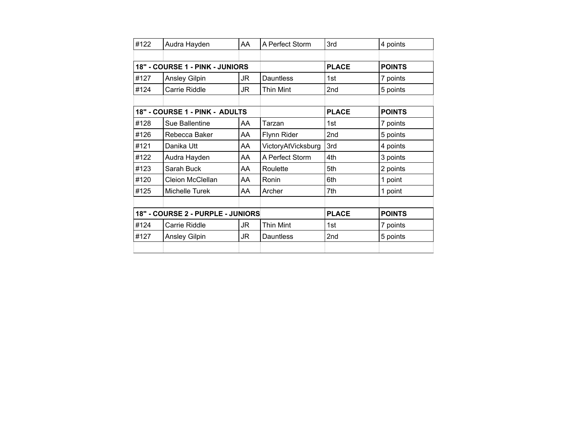| #122                              | Audra Hayden            | AA | A Perfect Storm    | 3rd             | 4 points      |
|-----------------------------------|-------------------------|----|--------------------|-----------------|---------------|
|                                   |                         |    |                    |                 |               |
| 18" - COURSE 1 - PINK - JUNIORS   |                         |    |                    | <b>PLACE</b>    | <b>POINTS</b> |
| #127                              | Ansley Gilpin           | JR | <b>Dauntless</b>   | 1st             | 7 points      |
| #124                              | Carrie Riddle           | JR | <b>Thin Mint</b>   | 2 <sub>nd</sub> | 5 points      |
|                                   |                         |    |                    |                 |               |
| 18" - COURSE 1 - PINK - ADULTS    |                         |    |                    | <b>PLACE</b>    | <b>POINTS</b> |
| #128                              | Sue Ballentine          | AA | Tarzan             | 1st             | 7 points      |
| #126                              | Rebecca Baker           | AA | Flynn Rider        | 2nd             | 5 points      |
| #121                              | Danika Utt              | AA | VictoryAtVicksburg | 3rd             | 4 points      |
| #122                              | Audra Hayden            | AA | A Perfect Storm    | 4th             | 3 points      |
| #123                              | Sarah Buck              | AA | Roulette           | 5th             | 2 points      |
| #120                              | <b>Cleion McClellan</b> | AA | Ronin              | 6th             | 1 point       |
| #125                              | Michelle Turek          | AA | Archer             | 7th             | 1 point       |
|                                   |                         |    |                    |                 |               |
| 18" - COURSE 2 - PURPLE - JUNIORS |                         |    |                    | <b>PLACE</b>    | <b>POINTS</b> |
| #124                              | Carrie Riddle           | JR | Thin Mint          | 1st             | 7 points      |
| #127                              | <b>Ansley Gilpin</b>    | JR | Dauntless          | 2nd             | 5 points      |
|                                   |                         |    |                    |                 |               |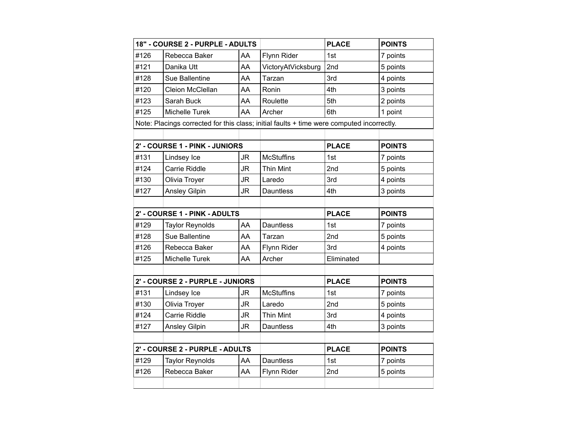| 18" - COURSE 2 - PURPLE - ADULTS |                                                                                           |           |                    | <b>PLACE</b> | <b>POINTS</b> |
|----------------------------------|-------------------------------------------------------------------------------------------|-----------|--------------------|--------------|---------------|
| #126                             | Rebecca Baker                                                                             | AA        | Flynn Rider        | 1st          | 7 points      |
| #121                             | Danika Utt                                                                                | AA        | VictoryAtVicksburg | 2nd          | 5 points      |
| #128                             | Sue Ballentine                                                                            | AA        | Tarzan             | 3rd          | 4 points      |
| #120                             | Cleion McClellan                                                                          | AA        | Ronin              | 4th          | 3 points      |
| #123                             | Sarah Buck                                                                                | AA        | Roulette           | 5th          | 2 points      |
| #125                             | Michelle Turek                                                                            | AA        | Archer             | 6th          | 1 point       |
|                                  | Note: Placings corrected for this class; initial faults + time were computed incorrectly. |           |                    |              |               |
|                                  |                                                                                           |           |                    |              |               |
| 2' - COURSE 1 - PINK - JUNIORS   |                                                                                           |           |                    | <b>PLACE</b> | <b>POINTS</b> |
| #131                             | Lindsey Ice                                                                               | JR        | <b>McStuffins</b>  | 1st          | 7 points      |
| #124                             | Carrie Riddle                                                                             | JR.       | Thin Mint          | 2nd          | 5 points      |
| #130                             | Olivia Troyer                                                                             | <b>JR</b> | Laredo             | 3rd          | 4 points      |
| #127                             | Ansley Gilpin                                                                             | <b>JR</b> | <b>Dauntless</b>   | 4th          | 3 points      |
|                                  |                                                                                           |           |                    |              |               |
| 2' - COURSE 1 - PINK - ADULTS    |                                                                                           |           |                    | <b>PLACE</b> | <b>POINTS</b> |
| #129                             | <b>Taylor Reynolds</b>                                                                    | AA        | <b>Dauntless</b>   | 1st          | 7 points      |
| #128                             | Sue Ballentine                                                                            | AA        | Tarzan             | 2nd          | 5 points      |
| #126                             | Rebecca Baker                                                                             | AA        | Flynn Rider        | 3rd          | 4 points      |
| #125                             | Michelle Turek                                                                            | AA        | Archer             | Eliminated   |               |
|                                  |                                                                                           |           |                    |              |               |
| 2' - COURSE 2 - PURPLE - JUNIORS |                                                                                           |           |                    | <b>PLACE</b> | <b>POINTS</b> |
| #131                             | Lindsey Ice                                                                               | JR        | <b>McStuffins</b>  | 1st          | 7 points      |
| #130                             | Olivia Troyer                                                                             | JR        | Laredo             | 2nd          | 5 points      |
| #124                             | Carrie Riddle                                                                             | <b>JR</b> | <b>Thin Mint</b>   | 3rd          | 4 points      |
| #127                             | Ansley Gilpin                                                                             | <b>JR</b> | <b>Dauntless</b>   | 4th          | 3 points      |
|                                  |                                                                                           |           |                    |              |               |
| 2' - COURSE 2 - PURPLE - ADULTS  |                                                                                           |           |                    | <b>PLACE</b> | <b>POINTS</b> |
| #129                             | <b>Taylor Reynolds</b>                                                                    | AA        | <b>Dauntless</b>   | 1st          | 7 points      |
| #126                             | Rebecca Baker                                                                             | AA        | Flynn Rider        | 2nd          | 5 points      |
|                                  |                                                                                           |           |                    |              |               |